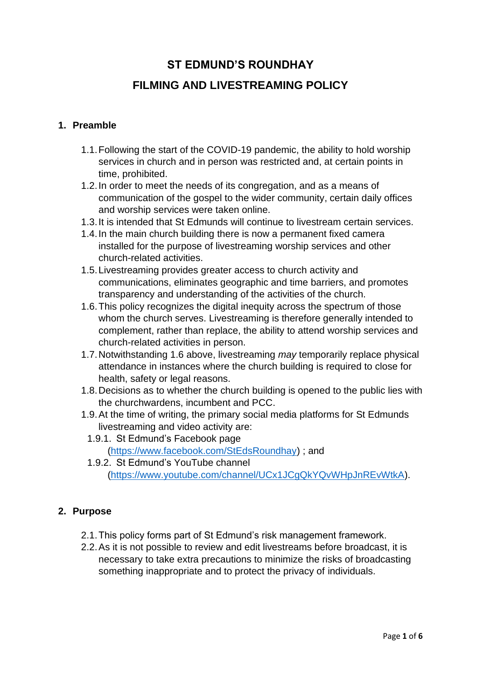# **ST EDMUND'S ROUNDHAY FILMING AND LIVESTREAMING POLICY**

# **1. Preamble**

- 1.1.Following the start of the COVID-19 pandemic, the ability to hold worship services in church and in person was restricted and, at certain points in time, prohibited.
- 1.2.In order to meet the needs of its congregation, and as a means of communication of the gospel to the wider community, certain daily offices and worship services were taken online.
- 1.3.It is intended that St Edmunds will continue to livestream certain services.
- 1.4.In the main church building there is now a permanent fixed camera installed for the purpose of livestreaming worship services and other church-related activities.
- 1.5.Livestreaming provides greater access to church activity and communications, eliminates geographic and time barriers, and promotes transparency and understanding of the activities of the church.
- 1.6.This policy recognizes the digital inequity across the spectrum of those whom the church serves. Livestreaming is therefore generally intended to complement, rather than replace, the ability to attend worship services and church-related activities in person.
- 1.7.Notwithstanding 1.6 above, livestreaming *may* temporarily replace physical attendance in instances where the church building is required to close for health, safety or legal reasons.
- 1.8.Decisions as to whether the church building is opened to the public lies with the churchwardens, incumbent and PCC.
- 1.9.At the time of writing, the primary social media platforms for St Edmunds livestreaming and video activity are:
	- 1.9.1. St Edmund's Facebook page [\(https://www.facebook.com/StEdsRoundhay\)](https://www.facebook.com/StEdsRoundhay) ; and
	- 1.9.2. St Edmund's YouTube channel [\(https://www.youtube.com/channel/UCx1JCgQkYQvWHpJnREvWtkA\)](https://www.youtube.com/channel/UCx1JCgQkYQvWHpJnREvWtkA).

# **2. Purpose**

- 2.1.This policy forms part of St Edmund's risk management framework.
- 2.2.As it is not possible to review and edit livestreams before broadcast, it is necessary to take extra precautions to minimize the risks of broadcasting something inappropriate and to protect the privacy of individuals.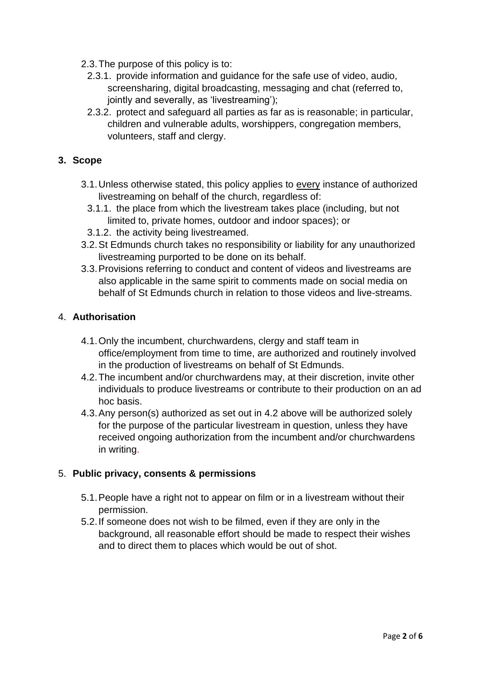- 2.3.The purpose of this policy is to:
	- 2.3.1. provide information and guidance for the safe use of video, audio, screensharing, digital broadcasting, messaging and chat (referred to, jointly and severally, as 'livestreaming');
	- 2.3.2. protect and safeguard all parties as far as is reasonable; in particular, children and vulnerable adults, worshippers, congregation members, volunteers, staff and clergy.

## **3. Scope**

- 3.1.Unless otherwise stated, this policy applies to every instance of authorized livestreaming on behalf of the church, regardless of:
	- 3.1.1. the place from which the livestream takes place (including, but not limited to, private homes, outdoor and indoor spaces); or
	- 3.1.2. the activity being livestreamed.
- 3.2.St Edmunds church takes no responsibility or liability for any unauthorized livestreaming purported to be done on its behalf.
- 3.3.Provisions referring to conduct and content of videos and livestreams are also applicable in the same spirit to comments made on social media on behalf of St Edmunds church in relation to those videos and live-streams.

## 4. **Authorisation**

- 4.1.Only the incumbent, churchwardens, clergy and staff team in office/employment from time to time, are authorized and routinely involved in the production of livestreams on behalf of St Edmunds.
- 4.2.The incumbent and/or churchwardens may, at their discretion, invite other individuals to produce livestreams or contribute to their production on an ad hoc basis.
- 4.3.Any person(s) authorized as set out in 4.2 above will be authorized solely for the purpose of the particular livestream in question, unless they have received ongoing authorization from the incumbent and/or churchwardens in writing.

## 5. **Public privacy, consents & permissions**

- 5.1.People have a right not to appear on film or in a livestream without their permission.
- 5.2.If someone does not wish to be filmed, even if they are only in the background, all reasonable effort should be made to respect their wishes and to direct them to places which would be out of shot.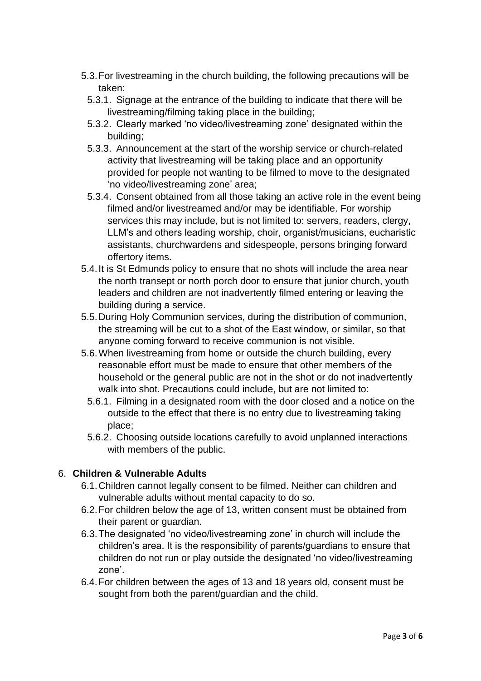- 5.3.For livestreaming in the church building, the following precautions will be taken:
	- 5.3.1. Signage at the entrance of the building to indicate that there will be livestreaming/filming taking place in the building;
	- 5.3.2. Clearly marked 'no video/livestreaming zone' designated within the building;
	- 5.3.3. Announcement at the start of the worship service or church-related activity that livestreaming will be taking place and an opportunity provided for people not wanting to be filmed to move to the designated 'no video/livestreaming zone' area;
	- 5.3.4. Consent obtained from all those taking an active role in the event being filmed and/or livestreamed and/or may be identifiable. For worship services this may include, but is not limited to: servers, readers, clergy, LLM's and others leading worship, choir, organist/musicians, eucharistic assistants, churchwardens and sidespeople, persons bringing forward offertory items.
- 5.4.It is St Edmunds policy to ensure that no shots will include the area near the north transept or north porch door to ensure that junior church, youth leaders and children are not inadvertently filmed entering or leaving the building during a service.
- 5.5.During Holy Communion services, during the distribution of communion, the streaming will be cut to a shot of the East window, or similar, so that anyone coming forward to receive communion is not visible.
- 5.6.When livestreaming from home or outside the church building, every reasonable effort must be made to ensure that other members of the household or the general public are not in the shot or do not inadvertently walk into shot. Precautions could include, but are not limited to:
	- 5.6.1. Filming in a designated room with the door closed and a notice on the outside to the effect that there is no entry due to livestreaming taking place;
	- 5.6.2. Choosing outside locations carefully to avoid unplanned interactions with members of the public.

# 6. **Children & Vulnerable Adults**

- 6.1.Children cannot legally consent to be filmed. Neither can children and vulnerable adults without mental capacity to do so.
- 6.2.For children below the age of 13, written consent must be obtained from their parent or guardian.
- 6.3.The designated 'no video/livestreaming zone' in church will include the children's area. It is the responsibility of parents/guardians to ensure that children do not run or play outside the designated 'no video/livestreaming zone'.
- 6.4.For children between the ages of 13 and 18 years old, consent must be sought from both the parent/guardian and the child.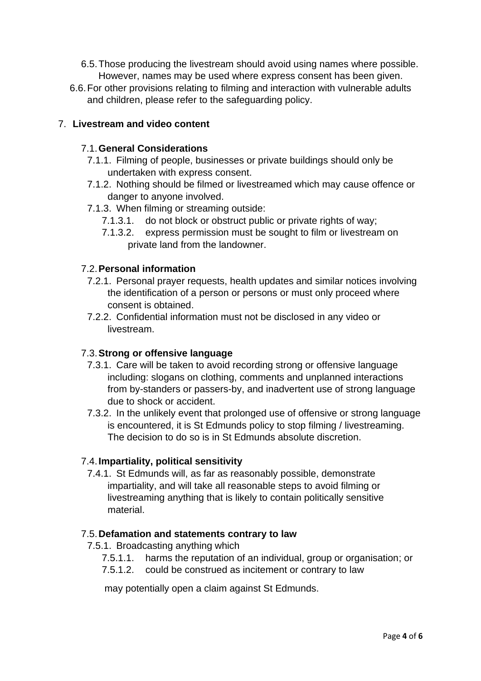- 6.5.Those producing the livestream should avoid using names where possible. However, names may be used where express consent has been given.
- 6.6.For other provisions relating to filming and interaction with vulnerable adults and children, please refer to the safeguarding policy.

# 7. **Livestream and video content**

## 7.1.**General Considerations**

- 7.1.1. Filming of people, businesses or private buildings should only be undertaken with express consent.
- 7.1.2. Nothing should be filmed or livestreamed which may cause offence or danger to anyone involved.
- 7.1.3. When filming or streaming outside:
	- 7.1.3.1. do not block or obstruct public or private rights of way;
	- 7.1.3.2. express permission must be sought to film or livestream on private land from the landowner.

#### 7.2.**Personal information**

- 7.2.1. Personal prayer requests, health updates and similar notices involving the identification of a person or persons or must only proceed where consent is obtained.
- 7.2.2. Confidential information must not be disclosed in any video or livestream.

#### 7.3.**Strong or offensive language**

- 7.3.1. Care will be taken to avoid recording strong or offensive language including: slogans on clothing, comments and unplanned interactions from by-standers or passers-by, and inadvertent use of strong language due to shock or accident.
- 7.3.2. In the unlikely event that prolonged use of offensive or strong language is encountered, it is St Edmunds policy to stop filming / livestreaming. The decision to do so is in St Edmunds absolute discretion.

## 7.4.**Impartiality, political sensitivity**

7.4.1. St Edmunds will, as far as reasonably possible, demonstrate impartiality, and will take all reasonable steps to avoid filming or livestreaming anything that is likely to contain politically sensitive material.

#### 7.5.**Defamation and statements contrary to law**

- 7.5.1. Broadcasting anything which
	- 7.5.1.1. harms the reputation of an individual, group or organisation; or
	- 7.5.1.2. could be construed as incitement or contrary to law

may potentially open a claim against St Edmunds.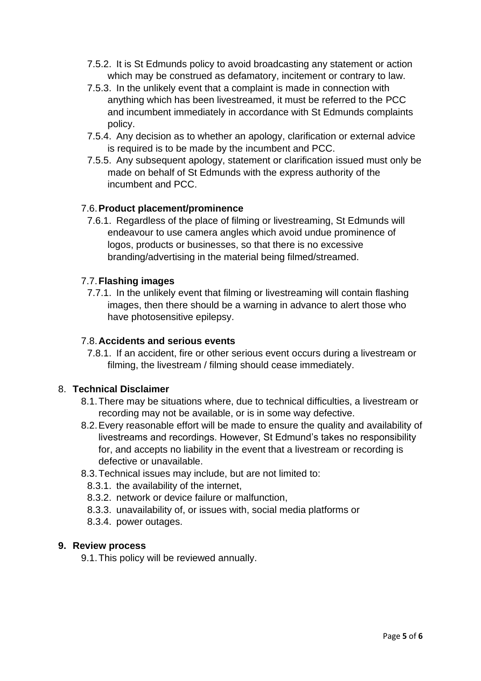- 7.5.2. It is St Edmunds policy to avoid broadcasting any statement or action which may be construed as defamatory, incitement or contrary to law.
- 7.5.3. In the unlikely event that a complaint is made in connection with anything which has been livestreamed, it must be referred to the PCC and incumbent immediately in accordance with St Edmunds complaints policy.
- 7.5.4. Any decision as to whether an apology, clarification or external advice is required is to be made by the incumbent and PCC.
- 7.5.5. Any subsequent apology, statement or clarification issued must only be made on behalf of St Edmunds with the express authority of the incumbent and PCC.

# 7.6.**Product placement/prominence**

7.6.1. Regardless of the place of filming or livestreaming, St Edmunds will endeavour to use camera angles which avoid undue prominence of logos, products or businesses, so that there is no excessive branding/advertising in the material being filmed/streamed.

## 7.7.**Flashing images**

7.7.1. In the unlikely event that filming or livestreaming will contain flashing images, then there should be a warning in advance to alert those who have photosensitive epilepsy.

## 7.8.**Accidents and serious events**

7.8.1. If an accident, fire or other serious event occurs during a livestream or filming, the livestream / filming should cease immediately.

# 8. **Technical Disclaimer**

- 8.1.There may be situations where, due to technical difficulties, a livestream or recording may not be available, or is in some way defective.
- 8.2.Every reasonable effort will be made to ensure the quality and availability of livestreams and recordings. However, St Edmund's takes no responsibility for, and accepts no liability in the event that a livestream or recording is defective or unavailable.
- 8.3.Technical issues may include, but are not limited to:
	- 8.3.1. the availability of the internet,
	- 8.3.2. network or device failure or malfunction,
	- 8.3.3. unavailability of, or issues with, social media platforms or
	- 8.3.4. power outages.

## **9. Review process**

9.1.This policy will be reviewed annually.